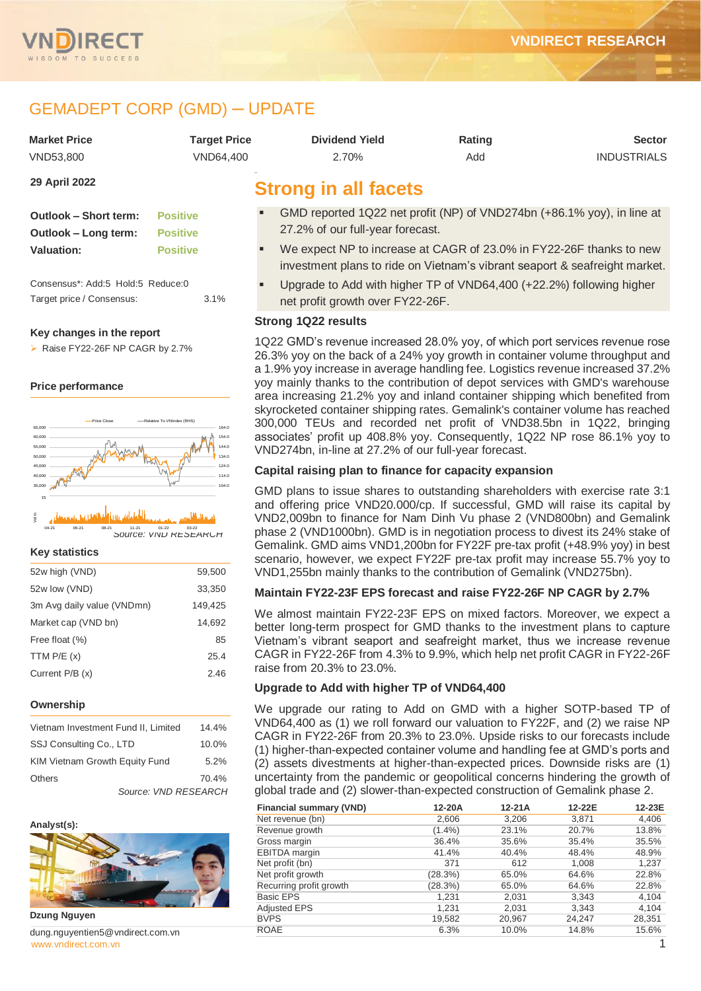

# GEMADEPT CORP (GMD) ─ UPDATE

| <b>Market Price</b>                                                                     | <b>Target Price</b>                | <b>Dividend Yield</b>                                                                                                                                                                                                                         | Rating | <b>Sector</b>      |  |  |  |
|-----------------------------------------------------------------------------------------|------------------------------------|-----------------------------------------------------------------------------------------------------------------------------------------------------------------------------------------------------------------------------------------------|--------|--------------------|--|--|--|
| VND53,800                                                                               | VND64,400                          | 2.70%                                                                                                                                                                                                                                         | Add    | <b>INDUSTRIALS</b> |  |  |  |
| 29 April 2022                                                                           |                                    | <b>Strong in all facets</b>                                                                                                                                                                                                                   |        |                    |  |  |  |
| <b>Outlook - Short term:</b><br>Outlook - Long term:                                    | <b>Positive</b><br><b>Positive</b> | GMD reported 1Q22 net profit (NP) of VND274bn (+86.1% yoy), in line at<br>27.2% of our full-year forecast.                                                                                                                                    |        |                    |  |  |  |
| <b>Valuation:</b>                                                                       | <b>Positive</b>                    | We expect NP to increase at CAGR of 23.0% in FY22-26F thanks to new<br>investment plans to ride on Vietnam's vibrant seaport & seafreight market.                                                                                             |        |                    |  |  |  |
| Consensus*: Add:5 Hold:5 Reduce:0<br>Target price / Consensus:                          | 3.1%                               | Upgrade to Add with higher TP of VND64,400 (+22.2%) following higher<br>net profit growth over FY22-26F.                                                                                                                                      |        |                    |  |  |  |
|                                                                                         |                                    | <b>Strong 1Q22 results</b>                                                                                                                                                                                                                    |        |                    |  |  |  |
| Key changes in the report<br>Raise FY22-26F NP CAGR by 2.7%<br><b>Price performance</b> |                                    | 1Q22 GMD's revenue increased 28.0% yoy, of which port services revenue rose<br>26.3% yoy on the back of a 24% yoy growth in container volume throughput and<br>a 1.9% yoy increase in average handling fee. Logistics revenue increased 37.2% |        |                    |  |  |  |
|                                                                                         |                                    | yoy mainly thanks to the contribution of depot services with GMD's warehouse<br>area increasing 21.2% yoy and inland container shipping which benefited from<br>skyrocketed container shipping rates. Gemalink's container volume has reached |        |                    |  |  |  |





*Source: VND RESEARCH*

#### **Key statistics**

| 52w high (VND)             | 59,500  |
|----------------------------|---------|
| 52w low (VND)              | 33,350  |
| 3m Avg daily value (VNDmn) | 149,425 |
| Market cap (VND bn)        | 14.692  |
| Free float (%)             | 85      |
| TTM $P/E(x)$               | 25.4    |
| Current $P/B(x)$           | 2.46    |

#### **Ownership**

| Vietnam Investment Fund II, Limited |                      | 14.4% |
|-------------------------------------|----------------------|-------|
| SSJ Consulting Co., LTD             |                      | 10.0% |
| KIM Vietnam Growth Equity Fund      |                      | 5.2%  |
| <b>Others</b>                       |                      | 70.4% |
|                                     | Source: VND RESEARCH |       |



**Dzung Nguyen**

[www.vndirect.com.vn](file:///C:/Users/Andre/Downloads/www.vndirect.com.vn) **1** dung.nguyentien5@vndirect.com.vn

# **Capital raising plan to finance for capacity expansion**

VND274bn, in-line at 27.2% of our full-year forecast.

GMD plans to issue shares to outstanding shareholders with exercise rate 3:1 and offering price VND20.000/cp. If successful, GMD will raise its capital by VND2,009bn to finance for Nam Dinh Vu phase 2 (VND800bn) and Gemalink phase 2 (VND1000bn). GMD is in negotiation process to divest its 24% stake of Gemalink. GMD aims VND1,200bn for FY22F pre-tax profit (+48.9% yoy) in best scenario, however, we expect FY22F pre-tax profit may increase 55.7% yoy to VND1,255bn mainly thanks to the contribution of Gemalink (VND275bn).

300,000 TEUs and recorded net profit of VND38.5bn in 1Q22, bringing associates' profit up 408.8% yoy. Consequently, 1Q22 NP rose 86.1% yoy to

#### **Maintain FY22-23F EPS forecast and raise FY22-26F NP CAGR by 2.7%**

We almost maintain FY22-23F EPS on mixed factors. Moreover, we expect a better long-term prospect for GMD thanks to the investment plans to capture Vietnam's vibrant seaport and seafreight market, thus we increase revenue CAGR in FY22-26F from 4.3% to 9.9%, which help net profit CAGR in FY22-26F raise from 20.3% to 23.0%.

#### **Upgrade to Add with higher TP of VND64,400**

We upgrade our rating to Add on GMD with a higher SOTP-based TP of VND64,400 as (1) we roll forward our valuation to FY22F, and (2) we raise NP CAGR in FY22-26F from 20.3% to 23.0%. Upside risks to our forecasts include (1) higher-than-expected container volume and handling fee at GMD's ports and (2) assets divestments at higher-than-expected prices. Downside risks are (1) uncertainty from the pandemic or geopolitical concerns hindering the growth of global trade and (2) slower-than-expected construction of Gemalink phase 2.

| <b>Financial summary (VND)</b> | 12-20A    | 12-21A | 12-22E | 12-23E |
|--------------------------------|-----------|--------|--------|--------|
| Net revenue (bn)               | 2,606     | 3,206  | 3,871  | 4,406  |
| Revenue growth                 | $(1.4\%)$ | 23.1%  | 20.7%  | 13.8%  |
| Gross margin                   | 36.4%     | 35.6%  | 35.4%  | 35.5%  |
| <b>EBITDA</b> margin           | 41.4%     | 40.4%  | 48.4%  | 48.9%  |
| Net profit (bn)                | 371       | 612    | 1,008  | 1,237  |
| Net profit growth              | (28.3%)   | 65.0%  | 64.6%  | 22.8%  |
| Recurring profit growth        | (28.3%)   | 65.0%  | 64.6%  | 22.8%  |
| <b>Basic EPS</b>               | 1.231     | 2,031  | 3,343  | 4,104  |
| <b>Adjusted EPS</b>            | 1,231     | 2,031  | 3,343  | 4,104  |
| <b>BVPS</b>                    | 19,582    | 20,967 | 24.247 | 28,351 |
| <b>ROAE</b>                    | 6.3%      | 10.0%  | 14.8%  | 15.6%  |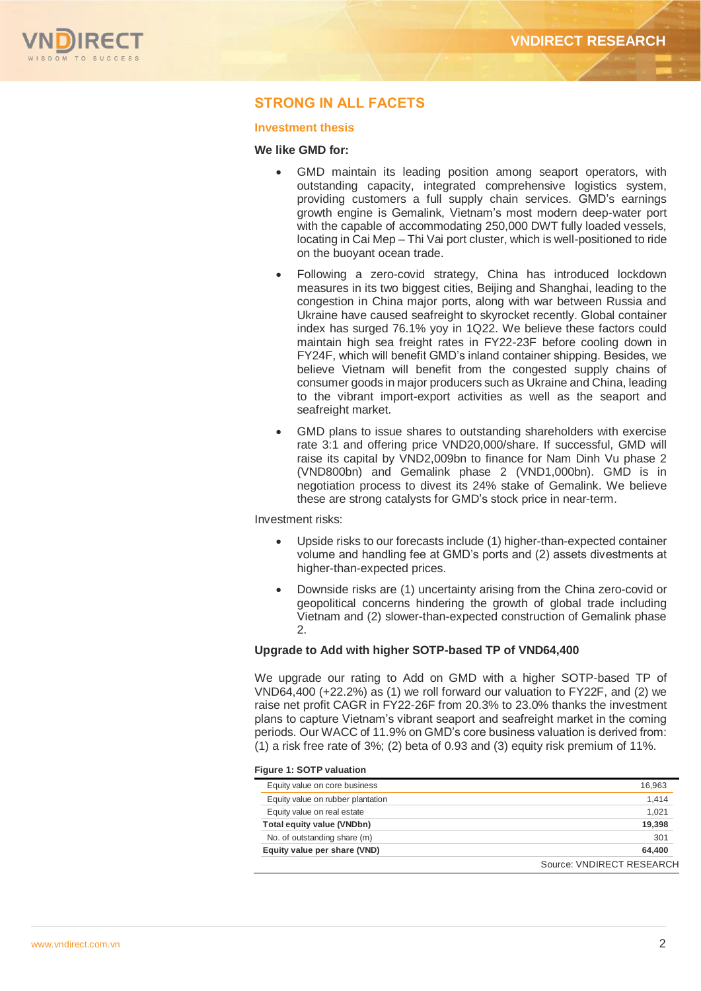

## **STRONG IN ALL FACETS**

#### **Investment thesis**

#### **We like GMD for:**

- GMD maintain its leading position among seaport operators, with outstanding capacity, integrated comprehensive logistics system, providing customers a full supply chain services. GMD's earnings growth engine is Gemalink, Vietnam's most modern deep-water port with the capable of accommodating 250,000 DWT fully loaded vessels, locating in Cai Mep – Thi Vai port cluster, which is well-positioned to ride on the buoyant ocean trade.
- Following a zero-covid strategy, China has introduced lockdown measures in its two biggest cities, Beijing and Shanghai, leading to the congestion in China major ports, along with war between Russia and Ukraine have caused seafreight to skyrocket recently. Global container index has surged 76.1% yoy in 1Q22. We believe these factors could maintain high sea freight rates in FY22-23F before cooling down in FY24F, which will benefit GMD's inland container shipping. Besides, we believe Vietnam will benefit from the congested supply chains of consumer goods in major producers such as Ukraine and China, leading to the vibrant import-export activities as well as the seaport and seafreight market.
- GMD plans to issue shares to outstanding shareholders with exercise rate 3:1 and offering price VND20,000/share. If successful, GMD will raise its capital by VND2,009bn to finance for Nam Dinh Vu phase 2 (VND800bn) and Gemalink phase 2 (VND1,000bn). GMD is in negotiation process to divest its 24% stake of Gemalink. We believe these are strong catalysts for GMD's stock price in near-term.

Investment risks:

- Upside risks to our forecasts include (1) higher-than-expected container volume and handling fee at GMD's ports and (2) assets divestments at higher-than-expected prices.
- Downside risks are (1) uncertainty arising from the China zero-covid or geopolitical concerns hindering the growth of global trade including Vietnam and (2) slower-than-expected construction of Gemalink phase 2.

#### **Upgrade to Add with higher SOTP-based TP of VND64,400**

We upgrade our rating to Add on GMD with a higher SOTP-based TP of VND64,400 (+22.2%) as (1) we roll forward our valuation to FY22F, and (2) we raise net profit CAGR in FY22-26F from 20.3% to 23.0% thanks the investment plans to capture Vietnam's vibrant seaport and seafreight market in the coming periods. Our WACC of 11.9% on GMD's core business valuation is derived from: (1) a risk free rate of 3%; (2) beta of 0.93 and (3) equity risk premium of 11%.

#### **Figure 1: SOTP valuation**

|                                   | Source: VNDIRECT RESEARCH |
|-----------------------------------|---------------------------|
| Equity value per share (VND)      | 64.400                    |
| No. of outstanding share (m)      | 301                       |
| Total equity value (VNDbn)        | 19,398                    |
| Equity value on real estate       | 1.021                     |
| Equity value on rubber plantation | 1.414                     |
| Equity value on core business     | 16,963                    |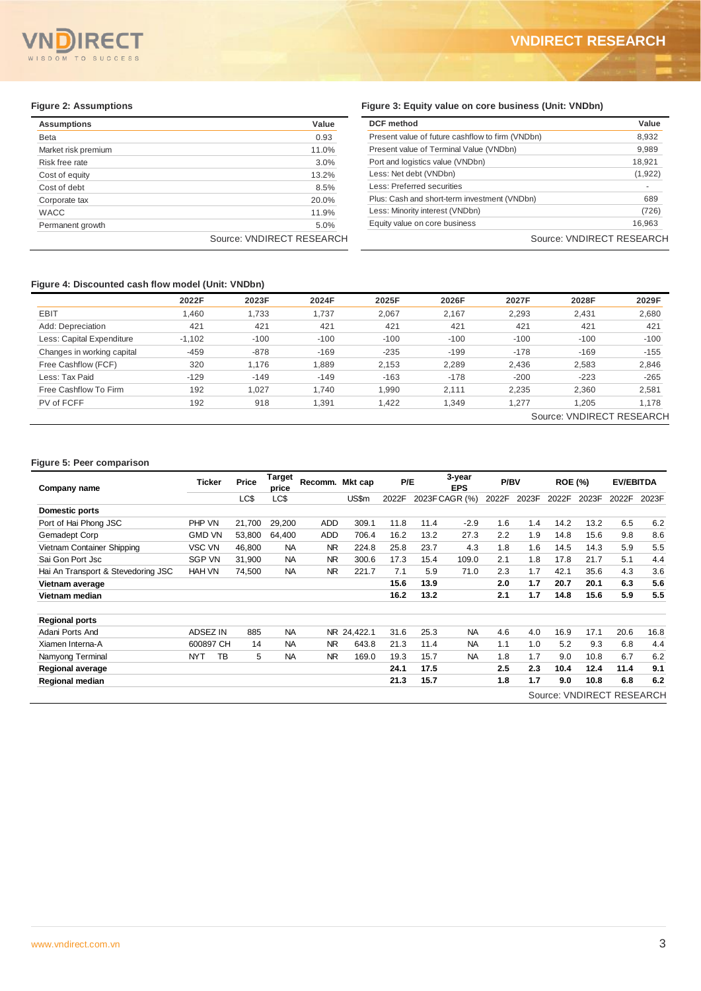#### $\epsilon$  $T<sub>O</sub>$ **SUCCESS**

 $\overline{a}$ 

| <b>Assumptions</b>  | Value                     |
|---------------------|---------------------------|
| <b>Beta</b>         | 0.93                      |
| Market risk premium | 11.0%                     |
| Risk free rate      | 3.0%                      |
| Cost of equity      | 13.2%                     |
| Cost of debt        | 8.5%                      |
| Corporate tax       | 20.0%                     |
| <b>WACC</b>         | 11.9%                     |
| Permanent growth    | 5.0%                      |
|                     | Source: VNDIRECT RESEARCH |

# **Figure 2: Assumptions Figure 3: Equity value on core business (Unit: VNDbn)**

| Value                     | <b>DCF</b> method                                | Value                     |
|---------------------------|--------------------------------------------------|---------------------------|
| 0.93                      | Present value of future cashflow to firm (VNDbn) | 8,932                     |
| 11.0%                     | Present value of Terminal Value (VNDbn)          | 9,989                     |
| 3.0%                      | Port and logistics value (VNDbn)                 | 18,921                    |
| 13.2%                     | Less: Net debt (VNDbn)                           | (1,922)                   |
| 8.5%                      | Less: Preferred securities                       |                           |
| 20.0%                     | Plus: Cash and short-term investment (VNDbn)     | 689                       |
| 11.9%                     | Less: Minority interest (VNDbn)                  | (726)                     |
| 5.0%                      | Equity value on core business                    | 16,963                    |
| Source: VNDIRECT RESEARCH |                                                  | Source: VNDIRECT RESEARCH |

#### **Figure 4: Discounted cash flow model (Unit: VNDbn)**

|                            |          | $\overline{\phantom{a}}$ |        |        |             |        |                           |        |
|----------------------------|----------|--------------------------|--------|--------|-------------|--------|---------------------------|--------|
|                            | 2022F    | 2023F                    | 2024F  | 2025F  | 2026F       | 2027F  | 2028F                     | 2029F  |
| EBIT                       | 1,460    | 1,733                    | 1,737  | 2,067  | 2,167       | 2,293  | 2,431                     | 2,680  |
| Add: Depreciation          | 421      | 421                      | 421    | 421    | 421         | 421    | 421                       | 421    |
| Less: Capital Expenditure  | $-1,102$ | $-100$                   | $-100$ | $-100$ | $-100$      | $-100$ | $-100$                    | $-100$ |
| Changes in working capital | -459     | $-878$                   | $-169$ | $-235$ | $-199$      | $-178$ | $-169$                    | $-155$ |
| Free Cashflow (FCF)        | 320      | 1.176                    | 889,   | 2,153  | 2,289       | 2,436  | 2,583                     | 2,846  |
| Less: Tax Paid             | $-129$   | $-149$                   | $-149$ | $-163$ | $-178$      | $-200$ | $-223$                    | $-265$ |
| Free Cashflow To Firm      | 192      | 1.027                    | 1.740  | 1,990  | 2.111       | 2,235  | 2,360                     | 2,581  |
| PV of FCFF                 | 192      | 918                      | 1,391  | 1,422  | <b>349.</b> | 1,277  | 1,205                     | 1,178  |
|                            |          |                          |        |        |             |        | Source: VNDIRECT RESEARCH |        |

# **Figure 5: Peer comparison**

| Company name                       | <b>Ticker</b>   |    | Price  | <b>Target</b><br>price | Recomm.        | Mkt cap     | P/E   |      | 3-year<br><b>EPS</b> | P/BV  |       | <b>ROE (%)</b> |                           | <b>EV/EBITDA</b> |       |
|------------------------------------|-----------------|----|--------|------------------------|----------------|-------------|-------|------|----------------------|-------|-------|----------------|---------------------------|------------------|-------|
|                                    |                 |    | LC\$   | LC\$                   |                | US\$m       | 2022F |      | 2023F CAGR (%)       | 2022F | 2023F | 2022F          | 2023F                     | 2022F            | 2023F |
| Domestic ports                     |                 |    |        |                        |                |             |       |      |                      |       |       |                |                           |                  |       |
| Port of Hai Phong JSC              | <b>PHP VN</b>   |    | 21,700 | 29,200                 | ADD            | 309.1       | 11.8  | 11.4 | $-2.9$               | 1.6   | 1.4   | 14.2           | 13.2                      | 6.5              | 6.2   |
| Gemadept Corp                      | <b>GMD VN</b>   |    | 53,800 | 64,400                 | ADD            | 706.4       | 16.2  | 13.2 | 27.3                 | 2.2   | 1.9   | 14.8           | 15.6                      | 9.8              | 8.6   |
| Vietnam Container Shipping         | VSC VN          |    | 46,800 | <b>NA</b>              | NR.            | 224.8       | 25.8  | 23.7 | 4.3                  | 1.8   | 1.6   | 14.5           | 14.3                      | 5.9              | 5.5   |
| Sai Gon Port Jsc                   | <b>SGP VN</b>   |    | 31,900 | <b>NA</b>              | <b>NR</b>      | 300.6       | 17.3  | 15.4 | 109.0                | 2.1   | 1.8   | 17.8           | 21.7                      | 5.1              | 4.4   |
| Hai An Transport & Stevedoring JSC | <b>HAH VN</b>   |    | 74.500 | <b>NA</b>              | <b>NR</b>      | 221.7       | 7.1   | 5.9  | 71.0                 | 2.3   | 1.7   | 42.1           | 35.6                      | 4.3              | 3.6   |
| Vietnam average                    |                 |    |        |                        |                |             | 15.6  | 13.9 |                      | 2.0   | 1.7   | 20.7           | 20.1                      | 6.3              | 5.6   |
| Vietnam median                     |                 |    |        |                        |                |             | 16.2  | 13.2 |                      | 2.1   | 1.7   | 14.8           | 15.6                      | 5.9              | 5.5   |
| <b>Regional ports</b>              |                 |    |        |                        |                |             |       |      |                      |       |       |                |                           |                  |       |
| Adani Ports And                    | <b>ADSEZ IN</b> |    | 885    | <b>NA</b>              |                | NR 24,422.1 | 31.6  | 25.3 | <b>NA</b>            | 4.6   | 4.0   | 16.9           | 17.1                      | 20.6             | 16.8  |
| Xiamen Interna-A                   | 600897 CH       |    | 14     | <b>NA</b>              | NR.            | 643.8       | 21.3  | 11.4 | <b>NA</b>            | 1.1   | 1.0   | 5.2            | 9.3                       | 6.8              | 4.4   |
| Namyong Terminal                   | <b>NYT</b>      | ТB | 5      | <b>NA</b>              | N <sub>R</sub> | 169.0       | 19.3  | 15.7 | <b>NA</b>            | 1.8   | 1.7   | 9.0            | 10.8                      | 6.7              | 6.2   |
| Regional average                   |                 |    |        |                        |                |             | 24.1  | 17.5 |                      | 2.5   | 2.3   | 10.4           | 12.4                      | 11.4             | 9.1   |
| Regional median                    |                 |    |        |                        |                |             | 21.3  | 15.7 |                      | 1.8   | 1.7   | 9.0            | 10.8                      | 6.8              | 6.2   |
|                                    |                 |    |        |                        |                |             |       |      |                      |       |       |                | Source: VNDIRECT RESEARCH |                  |       |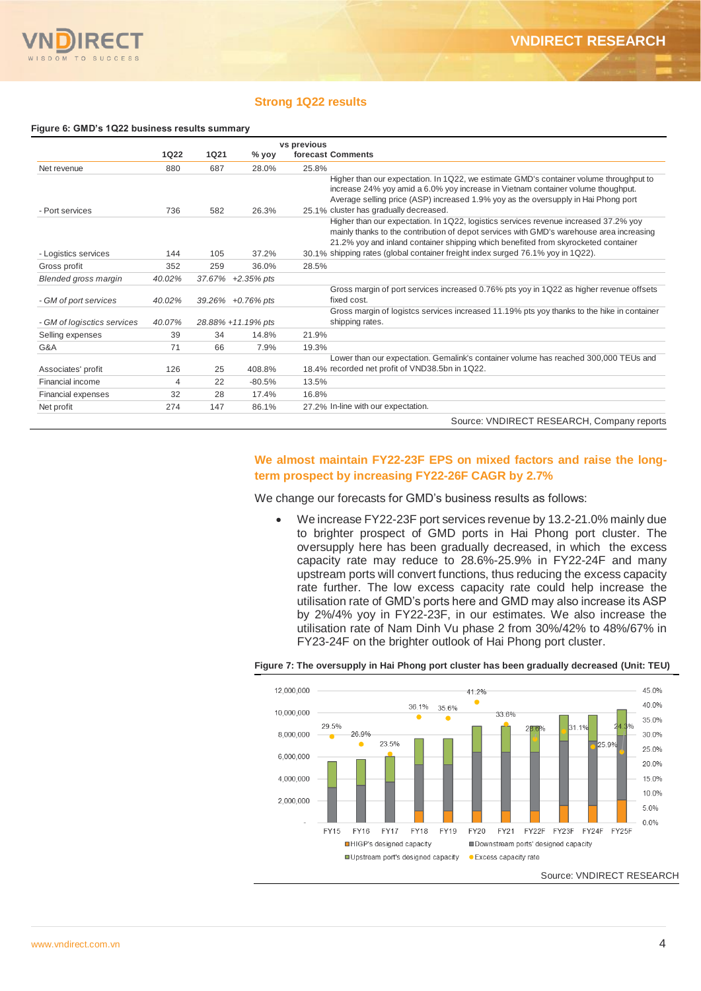### **Strong 1Q22 results**

#### **Figure 6: GMD's 1Q22 business results summary**

|                             | vs previous |             |                    |                                                                                                                                                                                                                                                                                                                                                           |
|-----------------------------|-------------|-------------|--------------------|-----------------------------------------------------------------------------------------------------------------------------------------------------------------------------------------------------------------------------------------------------------------------------------------------------------------------------------------------------------|
|                             | <b>1Q22</b> | <b>1Q21</b> | % yoy              | forecast Comments                                                                                                                                                                                                                                                                                                                                         |
| Net revenue                 | 880         | 687         | 28.0%              | 25.8%                                                                                                                                                                                                                                                                                                                                                     |
| - Port services             | 736         | 582         | 26.3%              | Higher than our expectation. In 1Q22, we estimate GMD's container volume throughput to<br>increase 24% yoy amid a 6.0% yoy increase in Vietnam container volume thoughput.<br>Average selling price (ASP) increased 1.9% yoy as the oversupply in Hai Phong port<br>25.1% cluster has gradually decreased.                                                |
| - Logistics services        | 144         | 105         | 37.2%              | Higher than our expectation. In 1Q22, logistics services revenue increased 37.2% yoy<br>mainly thanks to the contribution of depot services with GMD's warehouse area increasing<br>21.2% yoy and inland container shipping which benefited from skyrocketed container<br>30.1% shipping rates (global container freight index surged 76.1% yoy in 1Q22). |
| Gross profit                | 352         | 259         | 36.0%              | 28.5%                                                                                                                                                                                                                                                                                                                                                     |
|                             |             |             |                    |                                                                                                                                                                                                                                                                                                                                                           |
| <b>Blended gross margin</b> | 40.02%      |             | 37.67% +2.35% pts  | Gross margin of port services increased 0.76% pts yoy in 1Q22 as higher revenue offsets                                                                                                                                                                                                                                                                   |
| - GM of port services       | 40.02%      |             | 39.26% +0.76% pts  | fixed cost.                                                                                                                                                                                                                                                                                                                                               |
| - GM of logisctics services | 40.07%      |             | 28.88% +11.19% pts | Gross margin of logistcs services increased 11.19% pts yoy thanks to the hike in container<br>shipping rates.                                                                                                                                                                                                                                             |
| Selling expenses            | 39          | 34          | 14.8%              | 21.9%                                                                                                                                                                                                                                                                                                                                                     |
| G&A                         | 71          | 66          | 7.9%               | 19.3%                                                                                                                                                                                                                                                                                                                                                     |
| Associates' profit          | 126         | 25          | 408.8%             | Lower than our expectation. Gemalink's container volume has reached 300,000 TEUs and<br>18.4% recorded net profit of VND38.5bn in 1Q22.                                                                                                                                                                                                                   |
| Financial income            | 4           | 22          | $-80.5%$           | 13.5%                                                                                                                                                                                                                                                                                                                                                     |
| Financial expenses          | 32          | 28          | 17.4%              | 16.8%                                                                                                                                                                                                                                                                                                                                                     |
| Net profit                  | 274         | 147         | 86.1%              | 27.2% In-line with our expectation.                                                                                                                                                                                                                                                                                                                       |
|                             |             |             |                    | Source: VNDIRECT RESEARCH, Company reports                                                                                                                                                                                                                                                                                                                |

### **We almost maintain FY22-23F EPS on mixed factors and raise the longterm prospect by increasing FY22-26F CAGR by 2.7%**

We change our forecasts for GMD's business results as follows:

 We increase FY22-23F port services revenue by 13.2-21.0% mainly due to brighter prospect of GMD ports in Hai Phong port cluster. The oversupply here has been gradually decreased, in which the excess capacity rate may reduce to 28.6%-25.9% in FY22-24F and many upstream ports will convert functions, thus reducing the excess capacity rate further. The low excess capacity rate could help increase the utilisation rate of GMD's ports here and GMD may also increase its ASP by 2%/4% yoy in FY22-23F, in our estimates. We also increase the utilisation rate of Nam Dinh Vu phase 2 from 30%/42% to 48%/67% in FY23-24F on the brighter outlook of Hai Phong port cluster.



### **Figure 7: The oversupply in Hai Phong port cluster has been gradually decreased (Unit: TEU)**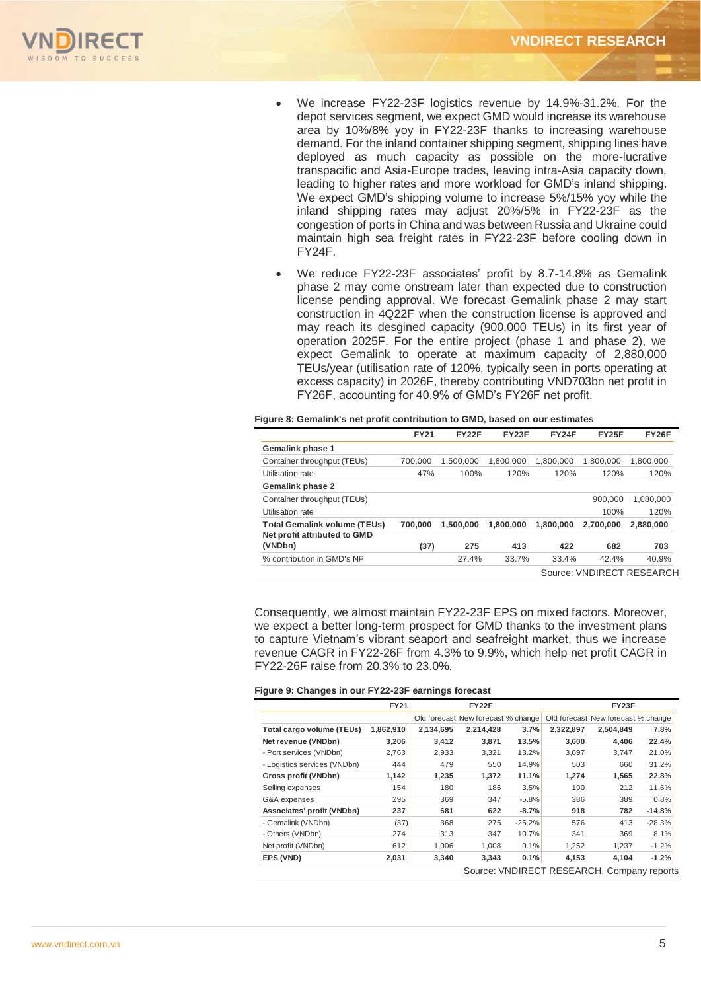

- We increase FY22-23F logistics revenue by 14.9%-31.2%. For the depot services segment, we expect GMD would increase its warehouse area by 10%/8% yoy in FY22-23F thanks to increasing warehouse demand. For the inland container shipping segment, shipping lines have deployed as much capacity as possible on the more-lucrative transpacific and Asia-Europe trades, leaving intra-Asia capacity down, leading to higher rates and more workload for GMD's inland shipping. We expect GMD's shipping volume to increase 5%/15% yoy while the inland shipping rates may adjust 20%/5% in FY22-23F as the congestion of ports in China and was between Russia and Ukraine could maintain high sea freight rates in FY22-23F before cooling down in FY24F.
- We reduce FY22-23F associates' profit by 8.7-14.8% as Gemalink phase 2 may come onstream later than expected due to construction license pending approval. We forecast Gemalink phase 2 may start construction in 4Q22F when the construction license is approved and may reach its desgined capacity (900,000 TEUs) in its first year of operation 2025F. For the entire project (phase 1 and phase 2), we expect Gemalink to operate at maximum capacity of 2,880,000 TEUs/year (utilisation rate of 120%, typically seen in ports operating at excess capacity) in 2026F, thereby contributing VND703bn net profit in FY26F, accounting for 40.9% of GMD's FY26F net profit.

|  | Figure 8: Gemalink's net profit contribution to GMD, based on our estimates |
|--|-----------------------------------------------------------------------------|
|  |                                                                             |

|                                         | <b>FY21</b> | <b>FY22F</b> | <b>FY23F</b> | <b>FY24F</b> | <b>FY25F</b> | <b>FY26F</b>              |
|-----------------------------------------|-------------|--------------|--------------|--------------|--------------|---------------------------|
| <b>Gemalink phase 1</b>                 |             |              |              |              |              |                           |
| Container throughput (TEUs)             | 700.000     | 1,500,000    | 1.800.000    | 1.800.000    | 1.800.000    | 1,800,000                 |
| Utilisation rate                        | 47%         | 100%         | 120%         | 120%         | 120%         | 120%                      |
| <b>Gemalink phase 2</b>                 |             |              |              |              |              |                           |
| Container throughput (TEUs)             |             |              |              |              | 900.000      | 1.080.000                 |
| Utilisation rate                        |             |              |              |              | 100%         | 120%                      |
| <b>Total Gemalink volume (TEUs)</b>     | 700.000     | 1.500.000    | 1.800.000    | 1.800.000    | 2.700.000    | 2.880,000                 |
| Net profit attributed to GMD<br>(VNDbn) | (37)        | 275          | 413          | 422          | 682          | 703                       |
| % contribution in GMD's NP              |             | 27.4%        | 33.7%        | 33.4%        | 42.4%        | 40.9%                     |
|                                         |             |              |              |              |              | Source: VNDIRECT RESEARCH |

Consequently, we almost maintain FY22-23F EPS on mixed factors. Moreover, we expect a better long-term prospect for GMD thanks to the investment plans to capture Vietnam's vibrant seaport and seafreight market, thus we increase revenue CAGR in FY22-26F from 4.3% to 9.9%, which help net profit CAGR in FY22-26F raise from 20.3% to 23.0%.

#### **Figure 9: Changes in our FY22-23F earnings forecast**

|                              | <b>FY21</b> |           | FY22F                              |          |           | FY23F                                      |          |
|------------------------------|-------------|-----------|------------------------------------|----------|-----------|--------------------------------------------|----------|
|                              |             |           | Old forecast New forecast % change |          |           | Old forecast New forecast % change         |          |
| Total cargo volume (TEUs)    | 1,862,910   | 2,134,695 | 2,214,428                          | 3.7%     | 2,322,897 | 2,504,849                                  | 7.8%     |
| Net revenue (VNDbn)          | 3,206       | 3,412     | 3,871                              | 13.5%    | 3,600     | 4,406                                      | 22.4%    |
| - Port services (VNDbn)      | 2,763       | 2,933     | 3,321                              | 13.2%    | 3,097     | 3,747                                      | 21.0%    |
| - Logistics services (VNDbn) | 444         | 479       | 550                                | 14.9%    | 503       | 660                                        | 31.2%    |
| Gross profit (VNDbn)         | 1,142       | 1,235     | 1,372                              | 11.1%    | 1,274     | 1,565                                      | 22.8%    |
| Selling expenses             | 154         | 180       | 186                                | 3.5%     | 190       | 212                                        | 11.6%    |
| G&A expenses                 | 295         | 369       | 347                                | $-5.8%$  | 386       | 389                                        | 0.8%     |
| Associates' profit (VNDbn)   | 237         | 681       | 622                                | $-8.7%$  | 918       | 782                                        | $-14.8%$ |
| - Gemalink (VNDbn)           | (37)        | 368       | 275                                | $-25.2%$ | 576       | 413                                        | $-28.3%$ |
| - Others (VNDbn)             | 274         | 313       | 347                                | 10.7%    | 341       | 369                                        | 8.1%     |
| Net profit (VNDbn)           | 612         | 1,006     | 1,008                              | 0.1%     | 1,252     | 1,237                                      | $-1.2%$  |
| EPS (VND)                    | 2,031       | 3,340     | 3,343                              | 0.1%     | 4,153     | 4,104                                      | $-1.2%$  |
|                              |             |           |                                    |          |           | Source: VNDIRECT RESEARCH, Company reports |          |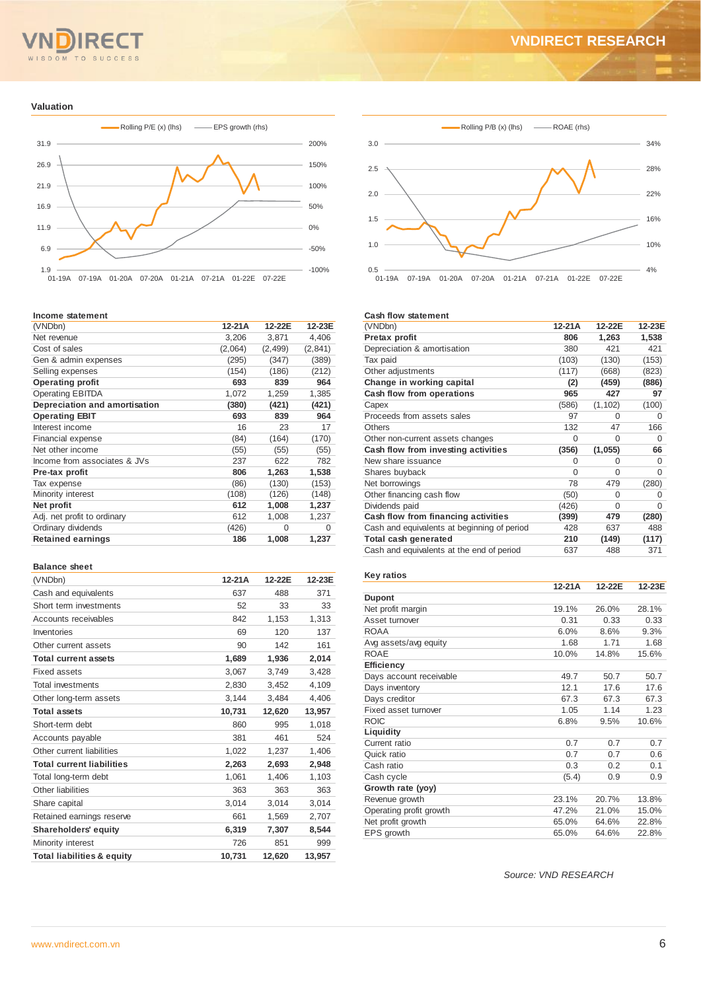#### TO  $\overline{M}$ **SUCCE**

# **VNDIRECT RESEARCH**

#### **Valuation**



#### **Income statement**

| (VNDbn)                       | 12-21A  | 12-22E   | 12-23E  |
|-------------------------------|---------|----------|---------|
| Net revenue                   | 3,206   | 3,871    | 4,406   |
| Cost of sales                 | (2,064) | (2, 499) | (2,841) |
| Gen & admin expenses          | (295)   | (347)    | (389)   |
| Selling expenses              | (154)   | (186)    | (212)   |
| <b>Operating profit</b>       | 693     | 839      | 964     |
| <b>Operating EBITDA</b>       | 1,072   | 1,259    | 1,385   |
| Depreciation and amortisation | (380)   | (421)    | (421)   |
| <b>Operating EBIT</b>         | 693     | 839      | 964     |
| Interest income               | 16      | 23       | 17      |
| Financial expense             | (84)    | (164)    | (170)   |
| Net other income              | (55)    | (55)     | (55)    |
| Income from associates & JVs  | 237     | 622      | 782     |
| Pre-tax profit                | 806     | 1,263    | 1,538   |
| Tax expense                   | (86)    | (130)    | (153)   |
| Minority interest             | (108)   | (126)    | (148)   |
| Net profit                    | 612     | 1,008    | 1,237   |
| Adj. net profit to ordinary   | 612     | 1,008    | 1,237   |
| Ordinary dividends            | (426)   | $\Omega$ | 0       |
| <b>Retained earnings</b>      | 186     | 1,008    | 1,237   |
|                               |         |          |         |

#### **Balance sheet**

| (VNDbn)                               | 12-21A | 12-22E | 12-23E |
|---------------------------------------|--------|--------|--------|
| Cash and equivalents                  | 637    | 488    | 371    |
| Short term investments                | 52     | 33     | 33     |
| Accounts receivables                  | 842    | 1,153  | 1,313  |
| Inventories                           | 69     | 120    | 137    |
| Other current assets                  | 90     | 142    | 161    |
| <b>Total current assets</b>           | 1,689  | 1,936  | 2,014  |
| Fixed assets                          | 3,067  | 3,749  | 3.428  |
| <b>Total investments</b>              | 2,830  | 3,452  | 4,109  |
| Other long-term assets                | 3,144  | 3,484  | 4,406  |
| <b>Total assets</b>                   | 10,731 | 12,620 | 13,957 |
| Short-term debt                       | 860    | 995    | 1,018  |
| Accounts payable                      | 381    | 461    | 524    |
| Other current liabilities             | 1,022  | 1,237  | 1,406  |
| <b>Total current liabilities</b>      | 2,263  | 2,693  | 2,948  |
| Total long-term debt                  | 1,061  | 1,406  | 1,103  |
| Other liabilities                     | 363    | 363    | 363    |
| Share capital                         | 3,014  | 3,014  | 3,014  |
| Retained earnings reserve             | 661    | 1,569  | 2,707  |
| <b>Shareholders' equity</b>           | 6,319  | 7.307  | 8,544  |
| Minority interest                     | 726    | 851    | 999    |
| <b>Total liabilities &amp; equity</b> | 10.731 | 12,620 | 13.957 |



#### **Cash flow statement**

| (VNDbn)                                     | $12-21A$ | 12-22E   | 12-23E   |
|---------------------------------------------|----------|----------|----------|
| Pretax profit                               | 806      | 1,263    | 1,538    |
| Depreciation & amortisation                 | 380      | 421      | 421      |
| Tax paid                                    | (103)    | (130)    | (153)    |
| Other adjustments                           | (117)    | (668)    | (823)    |
| Change in working capital                   | (2)      | (459)    | (886)    |
| Cash flow from operations                   | 965      | 427      | 97       |
| Capex                                       | (586)    | (1, 102) | (100)    |
| Proceeds from assets sales                  | 97       | O        | 0        |
| Others                                      | 132      | 47       | 166      |
| Other non-current assets changes            | 0        | O        | 0        |
| Cash flow from investing activities         | (356)    | (1,055)  | 66       |
| New share issuance                          | 0        | O        | 0        |
| Shares buyback                              | $\Omega$ | $\Omega$ | $\Omega$ |
| Net borrowings                              | 78       | 479      | (280)    |
| Other financing cash flow                   | (50)     | $\Omega$ | $\Omega$ |
| Dividends paid                              | (426)    | $\Omega$ | $\Omega$ |
| Cash flow from financing activities         | (399)    | 479      | (280)    |
| Cash and equivalents at beginning of period | 428      | 637      | 488      |
| Total cash generated                        | 210      | (149)    | (117)    |
| Cash and equivalents at the end of period   | 637      | 488      | 371      |

#### **Key ratios**

|                         | $12-21A$ | 12-22E | 12-23E |
|-------------------------|----------|--------|--------|
| <b>Dupont</b>           |          |        |        |
| Net profit margin       | 19.1%    | 26.0%  | 28.1%  |
| Asset turnover          | 0.31     | 0.33   | 0.33   |
| <b>ROAA</b>             | 6.0%     | 8.6%   | 9.3%   |
| Avg assets/avg equity   | 1.68     | 1.71   | 1.68   |
| <b>ROAE</b>             | 10.0%    | 14.8%  | 15.6%  |
| <b>Efficiency</b>       |          |        |        |
| Days account receivable | 49.7     | 50.7   | 50.7   |
| Days inventory          | 12.1     | 17.6   | 17.6   |
| Days creditor           | 67.3     | 67.3   | 67.3   |
| Fixed asset turnover    | 1.05     | 1.14   | 1.23   |
| <b>ROIC</b>             | 6.8%     | 9.5%   | 10.6%  |
| Liquidity               |          |        |        |
| Current ratio           | 0.7      | 0.7    | 0.7    |
| Quick ratio             | 0.7      | 0.7    | 0.6    |
| Cash ratio              | 0.3      | 0.2    | 0.1    |
| Cash cycle              | (5.4)    | 0.9    | 0.9    |
| Growth rate (yoy)       |          |        |        |
| Revenue growth          | 23.1%    | 20.7%  | 13.8%  |
| Operating profit growth | 47.2%    | 21.0%  | 15.0%  |
| Net profit growth       | 65.0%    | 64.6%  | 22.8%  |
| EPS growth              | 65.0%    | 64.6%  | 22.8%  |

*Source: VND RESEARCH*